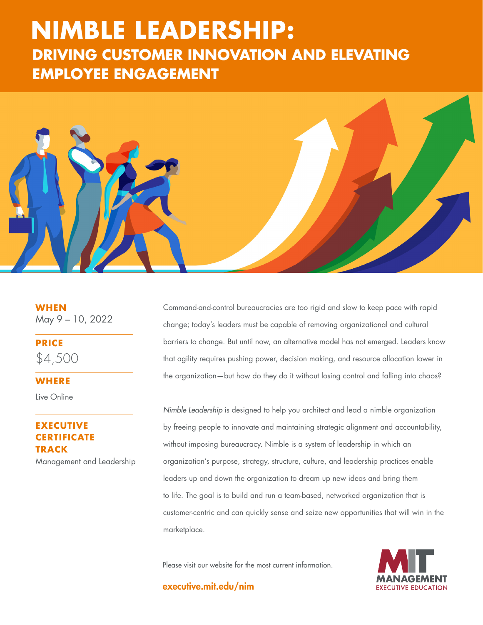# **DRIVING CUSTOMER INNOVATION AND ELEVATING NIMBLE LEADERSHIP: EMPLOYEE ENGAGEMENT**



**WHEN** May 9 – 10, 2022

**PRICE** \$4,500

#### **WHERE**

Live Online

# **ECUTIVE CERTIFICATE TRACK**

Management and Leadership

Command-and-control bureaucracies are too rigid and slow to keep pace with rapid change; today's leaders must be capable of removing organizational and cultural barriers to change. But until now, an alternative model has not emerged. Leaders know that agility requires pushing power, decision making, and resource allocation lower in the organization—but how do they do it without losing control and falling into chaos?

*Nimble Leadership* is designed to help you architect and lead a nimble organization by freeing people to innovate and maintaining strategic alignment and accountability, without imposing bureaucracy. Nimble is a system of leadership in which an organization's purpose, strategy, structure, culture, and leadership practices enable leaders up and down the organization to dream up new ideas and bring them to life. The goal is to build and run a team-based, networked organization that is customer-centric and can quickly sense and seize new opportunities that will win in the marketplace.

Please visit our website for the most current information.

executive.mit.edu/nim